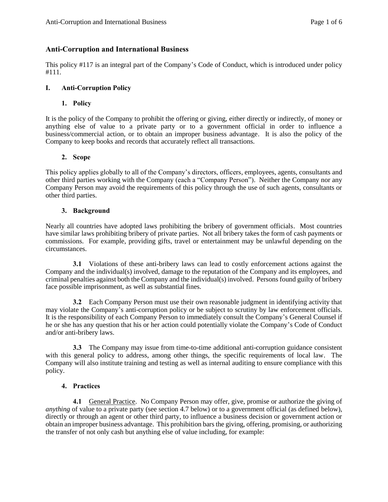# **Anti-Corruption and International Business**

This policy #117 is an integral part of the Company's Code of Conduct, which is introduced under policy #111.

# **I. Anti-Corruption Policy**

## **1. Policy**

It is the policy of the Company to prohibit the offering or giving, either directly or indirectly, of money or anything else of value to a private party or to a government official in order to influence a business/commercial action, or to obtain an improper business advantage. It is also the policy of the Company to keep books and records that accurately reflect all transactions.

## **2. Scope**

This policy applies globally to all of the Company's directors, officers, employees, agents, consultants and other third parties working with the Company (each a "Company Person"). Neither the Company nor any Company Person may avoid the requirements of this policy through the use of such agents, consultants or other third parties.

## **3. Background**

Nearly all countries have adopted laws prohibiting the bribery of government officials. Most countries have similar laws prohibiting bribery of private parties. Not all bribery takes the form of cash payments or commissions. For example, providing gifts, travel or entertainment may be unlawful depending on the circumstances.

**3.1** Violations of these anti-bribery laws can lead to costly enforcement actions against the Company and the individual(s) involved, damage to the reputation of the Company and its employees, and criminal penalties against both the Company and the individual(s) involved. Persons found guilty of bribery face possible imprisonment, as well as substantial fines.

**3.2** Each Company Person must use their own reasonable judgment in identifying activity that may violate the Company's anti-corruption policy or be subject to scrutiny by law enforcement officials. It is the responsibility of each Company Person to immediately consult the Company's General Counsel if he or she has any question that his or her action could potentially violate the Company's Code of Conduct and/or anti-bribery laws.

**3.3** The Company may issue from time-to-time additional anti-corruption guidance consistent with this general policy to address, among other things, the specific requirements of local law. The Company will also institute training and testing as well as internal auditing to ensure compliance with this policy.

#### **4. Practices**

**4.1** General Practice. No Company Person may offer, give, promise or authorize the giving of *anything* of value to a private party (see section 4.7 below) or to a government official (as defined below), directly or through an agent or other third party, to influence a business decision or government action or obtain an improper business advantage. This prohibition bars the giving, offering, promising, or authorizing the transfer of not only cash but anything else of value including, for example: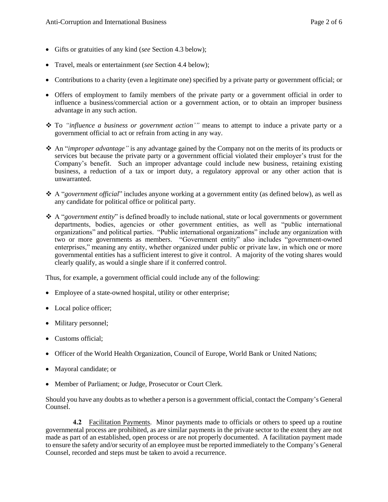- Gifts or gratuities of any kind (*see* Section 4.3 below);
- Travel, meals or entertainment (*see* Section 4.4 below);
- Contributions to a charity (even a legitimate one) specified by a private party or government official; or
- Offers of employment to family members of the private party or a government official in order to influence a business/commercial action or a government action, or to obtain an improper business advantage in any such action.
- To *"influence a business or government action'"* means to attempt to induce a private party or a government official to act or refrain from acting in any way.
- An "*improper advantage"* is any advantage gained by the Company not on the merits of its products or services but because the private party or a government official violated their employer's trust for the Company's benefit. Such an improper advantage could include new business, retaining existing business, a reduction of a tax or import duty, a regulatory approval or any other action that is unwarranted.
- A "*government official*" includes anyone working at a government entity (as defined below), as well as any candidate for political office or political party.
- A "*government entity*" is defined broadly to include national, state or local governments or government departments, bodies, agencies or other government entities, as well as "public international organizations" and political parties. "Public international organizations" include any organization with two or more governments as members. "Government entity" also includes "government-owned enterprises," meaning any entity, whether organized under public or private law, in which one or more governmental entities has a sufficient interest to give it control. A majority of the voting shares would clearly qualify, as would a single share if it conferred control.

Thus, for example, a government official could include any of the following:

- Employee of a state-owned hospital, utility or other enterprise;
- Local police officer;
- Military personnel;
- Customs official;
- Officer of the World Health Organization, Council of Europe, World Bank or United Nations;
- Mayoral candidate; or
- Member of Parliament; or Judge, Prosecutor or Court Clerk.

Should you have any doubts as to whether a person is a government official, contact the Company's General Counsel.

**4.2** Facilitation Payments. Minor payments made to officials or others to speed up a routine governmental process are prohibited, as are similar payments in the private sector to the extent they are not made as part of an established, open process or are not properly documented. A facilitation payment made to ensure the safety and/or security of an employee must be reported immediately to the Company's General Counsel, recorded and steps must be taken to avoid a recurrence.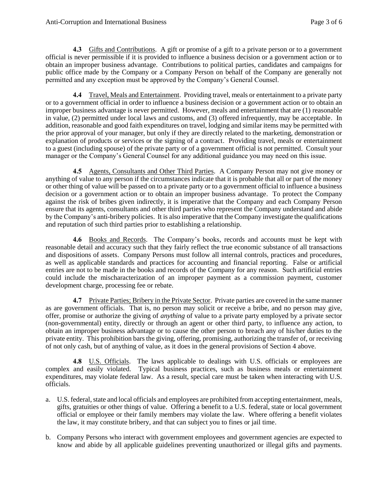**4.3** Gifts and Contributions. A gift or promise of a gift to a private person or to a government official is never permissible if it is provided to influence a business decision or a government action or to obtain an improper business advantage. Contributions to political parties, candidates and campaigns for public office made by the Company or a Company Person on behalf of the Company are generally not permitted and any exception must be approved by the Company's General Counsel.

**4.4** Travel, Meals and Entertainment. Providing travel, meals or entertainment to a private party or to a government official in order to influence a business decision or a government action or to obtain an improper business advantage is never permitted. However, meals and entertainment that are (1) reasonable in value, (2) permitted under local laws and customs, and (3) offered infrequently, may be acceptable. In addition, reasonable and good faith expenditures on travel, lodging and similar items may be permitted with the prior approval of your manager, but only if they are directly related to the marketing, demonstration or explanation of products or services or the signing of a contract. Providing travel, meals or entertainment to a guest (including spouse) of the private party or of a government official is not permitted. Consult your manager or the Company's General Counsel for any additional guidance you may need on this issue.

**4.5** Agents, Consultants and Other Third Parties. A Company Person may not give money or anything of value to any person if the circumstances indicate that it is probable that all or part of the money or other thing of value will be passed on to a private party or to a government official to influence a business decision or a government action or to obtain an improper business advantage. To protect the Company against the risk of bribes given indirectly, it is imperative that the Company and each Company Person ensure that its agents, consultants and other third parties who represent the Company understand and abide by the Company's anti-bribery policies. It is also imperative that the Company investigate the qualifications and reputation of such third parties prior to establishing a relationship.

**4.6** Books and Records. The Company's books, records and accounts must be kept with reasonable detail and accuracy such that they fairly reflect the true economic substance of all transactions and dispositions of assets. Company Persons must follow all internal controls, practices and procedures, as well as applicable standards and practices for accounting and financial reporting. False or artificial entries are not to be made in the books and records of the Company for any reason. Such artificial entries could include the mischaracterization of an improper payment as a commission payment, customer development charge, processing fee or rebate.

**4.7** Private Parties; Bribery in the Private Sector. Private parties are covered in the same manner as are government officials. That is, no person may solicit or receive a bribe, and no person may give, offer, promise or authorize the giving of *anything* of value to a private party employed by a private sector (non-governmental) entity, directly or through an agent or other third party, to influence any action, to obtain an improper business advantage or to cause the other person to breach any of his/her duties to the private entity. This prohibition bars the giving, offering, promising, authorizing the transfer of, or receiving of not only cash, but of anything of value, as it does in the general provisions of Section 4 above.

**4.8** U.S. Officials. The laws applicable to dealings with U.S. officials or employees are complex and easily violated. Typical business practices, such as business meals or entertainment expenditures, may violate federal law. As a result, special care must be taken when interacting with U.S. officials.

- a. U.S. federal, state and local officials and employees are prohibited from accepting entertainment, meals, gifts, gratuities or other things of value. Offering a benefit to a U.S. federal, state or local government official or employee or their family members may violate the law. Where offering a benefit violates the law, it may constitute bribery, and that can subject you to fines or jail time.
- b. Company Persons who interact with government employees and government agencies are expected to know and abide by all applicable guidelines preventing unauthorized or illegal gifts and payments.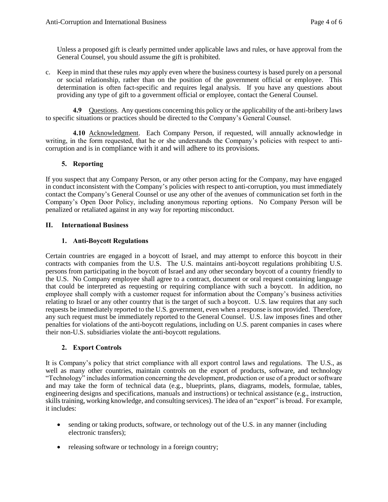Unless a proposed gift is clearly permitted under applicable laws and rules, or have approval from the General Counsel, you should assume the gift is prohibited.

c. Keep in mind that these rules *may* apply even where the business courtesy is based purely on a personal or social relationship, rather than on the position of the government official or employee. This determination is often fact-specific and requires legal analysis. If you have any questions about providing any type of gift to a government official or employee, contact the General Counsel.

**4.9** Questions. Any questions concerning this policy or the applicability of the anti-bribery laws to specific situations or practices should be directed to the Company's General Counsel.

**4.10** Acknowledgment. Each Company Person, if requested, will annually acknowledge in writing, in the form requested, that he or she understands the Company's policies with respect to anticorruption and is in compliance with it and will adhere to its provisions.

## **5. Reporting**

If you suspect that any Company Person, or any other person acting for the Company, may have engaged in conduct inconsistent with the Company's policies with respect to anti-corruption, you must immediately contact the Company's General Counsel or use any other of the avenues of communication set forth in the Company's Open Door Policy, including anonymous reporting options. No Company Person will be penalized or retaliated against in any way for reporting misconduct.

## **II. International Business**

## **1. Anti-Boycott Regulations**

Certain countries are engaged in a boycott of Israel, and may attempt to enforce this boycott in their contracts with companies from the U.S. The U.S. maintains anti-boycott regulations prohibiting U.S. persons from participating in the boycott of Israel and any other secondary boycott of a country friendly to the U.S. No Company employee shall agree to a contract, document or oral request containing language that could be interpreted as requesting or requiring compliance with such a boycott. In addition, no employee shall comply with a customer request for information about the Company's business activities relating to Israel or any other country that is the target of such a boycott. U.S. law requires that any such requests be immediately reported to the U.S. government, even when a response is not provided. Therefore, any such request must be immediately reported to the General Counsel. U.S. law imposes fines and other penalties for violations of the anti-boycott regulations, including on U.S. parent companies in cases where their non-U.S. subsidiaries violate the anti-boycott regulations.

#### **2. Export Controls**

It is Company's policy that strict compliance with all export control laws and regulations. The U.S., as well as many other countries, maintain controls on the export of products, software, and technology "Technology" includes information concerning the development, production or use of a product or software and may take the form of technical data (e.g., blueprints, plans, diagrams, models, formulae, tables, engineering designs and specifications, manuals and instructions) or technical assistance (e.g., instruction, skills training, working knowledge, and consulting services). The idea of an "export" is broad. For example, it includes:

- sending or taking products, software, or technology out of the U.S. in any manner (including electronic transfers);
- releasing software or technology in a foreign country;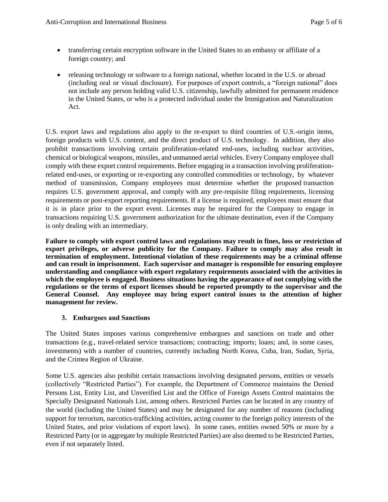- transferring certain encryption software in the United States to an embassy or affiliate of a foreign country; and
- releasing technology or software to a foreign national, whether located in the U.S. or abroad (including oral or visual disclosure). For purposes of export controls, a "foreign national" does not include any person holding valid U.S. citizenship, lawfully admitted for permanent residence in the United States, or who is a protected individual under the Immigration and Naturalization Act.

U.S. export laws and regulations also apply to the re-export to third countries of U.S.-origin items, foreign products with U.S. content, and the direct product of U.S. technology. In addition, they also prohibit transactions involving certain proliferation-related end-uses, including nuclear activities, chemical or biological weapons, missiles, and unmanned aerial vehicles. Every Company employee shall comply with these export control requirements. Before engaging in a transaction involving proliferationrelated end-uses, or exporting or re-exporting any controlled commodities or technology, by whatever method of transmission, Company employees must determine whether the proposed transaction requires U.S. government approval, and comply with any pre-requisite filing requirements, licensing requirements or post-export reporting requirements. If a license is required, employees must ensure that it is in place prior to the export event. Licenses may be required for the Company to engage in transactions requiring U.S. government authorization for the ultimate destination, even if the Company is only dealing with an intermediary.

**Failure to comply with export control laws and regulations may result in fines, loss or restriction of export privileges, or adverse publicity for the Company. Failure to comply may also result in termination of employment. Intentional violation of these requirements may be a criminal offense and can result in imprisonment. Each supervisor and manager is responsible for ensuring employee understanding and compliance with export regulatory requirements associated with the activities in which the employee is engaged. Business situations having the appearance of not complying with the regulations or the terms of export licenses should be reported promptly to the supervisor and the General Counsel. Any employee may bring export control issues to the attention of higher management for review.**

# **3. Embargoes and Sanctions**

The United States imposes various comprehensive embargoes and sanctions on trade and other transactions (e.g., travel-related service transactions; contracting; imports; loans; and, in some cases, investments) with a number of countries, currently including North Korea, Cuba, Iran, Sudan, Syria, and the Crimea Region of Ukraine.

Some U.S. agencies also prohibit certain transactions involving designated persons, entities or vessels (collectively "Restricted Parties"). For example, the Department of Commerce maintains the Denied Persons List, Entity List, and Unverified List and the Office of Foreign Assets Control maintains the Specially Designated Nationals List, among others. Restricted Parties can be located in any country of the world (including the United States) and may be designated for any number of reasons (including support for terrorism, narcotics-trafficking activities, acting counter to the foreign policy interests of the United States, and prior violations of export laws). In some cases, entities owned 50% or more by a Restricted Party (or in aggregate by multiple Restricted Parties) are also deemed to be Restricted Parties, even if not separately listed.